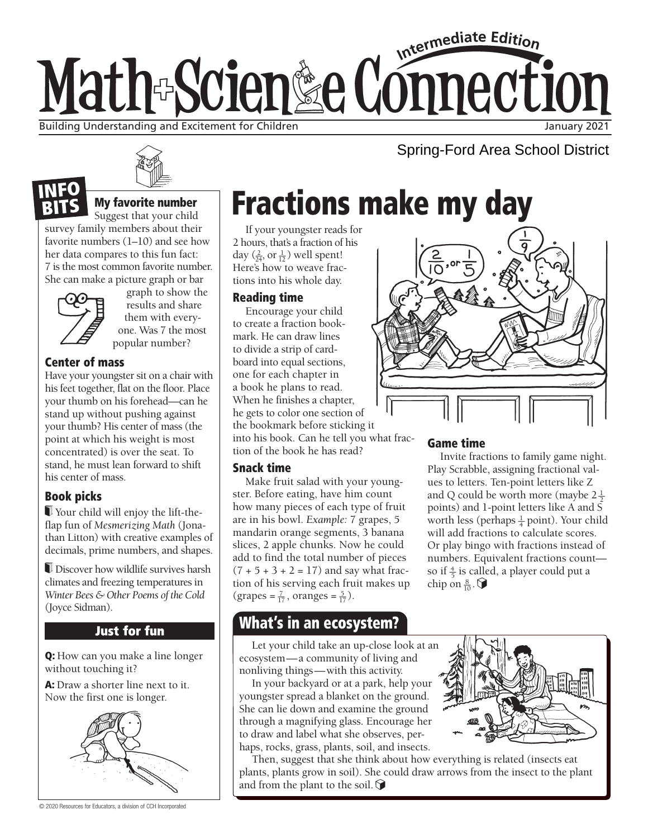# Intermediate Edition Math-Scien&e Connection Building Understanding and Excitement for Children January 2021 and January 2021

Spring-Ford Area School District



## My favorite number

Suggest that your child survey family members about their favorite numbers (1–10) and see how her data compares to this fun fact: 7 is the most common favorite number. She can make a picture graph or bar



graph to show the results and share them with everyone. Was 7 the most popular number?

### Center of mass

Have your youngster sit on a chair with his feet together, flat on the floor. Place your thumb on his forehead—can he stand up without pushing against your thumb? His center of mass (the point at which his weight is most concentrated) is over the seat. To stand, he must lean forward to shift his center of mass.

## Book picks

 Your child will enjoy the lift-theflap fun of *Mesmerizing Math* (Jonathan Litton) with creative examples of decimals, prime numbers, and shapes.

 Discover how wildlife survives harsh climates and freezing temperatures in *Winter Bees & Other Poems of the Cold* (Joyce Sidman).

## **Just for fun**

Q: How can you make a line longer without touching it?

A: Draw a shorter line next to it. Now the first one is longer.



© 2020 Resources for Educators, a division of CCH Incorporated

# Fractions make my day

If your youngster reads for 2 hours, that's a fraction of his day  $(\frac{2}{24}, \text{ or } \frac{1}{12})$  well spent! Here's how to weave fractions into his whole day.

### Reading time

Encourage your child to create a fraction bookmark. He can draw lines to divide a strip of cardboard into equal sections, one for each chapter in a book he plans to read. When he finishes a chapter, he gets to color one section of the bookmark before sticking it into his book. Can he tell you what fraction of the book he has read?

### Snack time

Make fruit salad with your youngster. Before eating, have him count how many pieces of each type of fruit are in his bowl. *Example:* 7 grapes, 5 mandarin orange segments, 3 banana slices, 2 apple chunks. Now he could add to find the total number of pieces  $(7 + 5 + 3 + 2 = 17)$  and say what fraction of his serving each fruit makes up  $(grapes = \frac{7}{17}, oranges = \frac{5}{17}).$ 

## What's in an ecosystem?

Let your child take an up-close look at an ecosystem—a community of living and nonliving things—with this activity.

In your backyard or at a park, help your youngster spread a blanket on the ground. She can lie down and examine the ground through a magnifying glass. Encourage her to draw and label what she observes, perhaps, rocks, grass, plants, soil, and insects.



Then, suggest that she think about how everything is related (insects eat plants, plants grow in soil). She could draw arrows from the insect to the plant and from the plant to the soil.  $\bigcirc$ 



### Game time

Invite fractions to family game night. Play Scrabble, assigning fractional values to letters. Ten-point letters like Z and Q could be worth more (maybe  $2\frac{1}{2}$ ) points) and 1-point letters like A and S worth less (perhaps  $\frac{1}{4}$  point). Your child will add fractions to calculate scores. Or play bingo with fractions instead of numbers. Equivalent fractions count so if  $\frac{4}{5}$  is called, a player could put a chip on  $\frac{8}{10}$ .